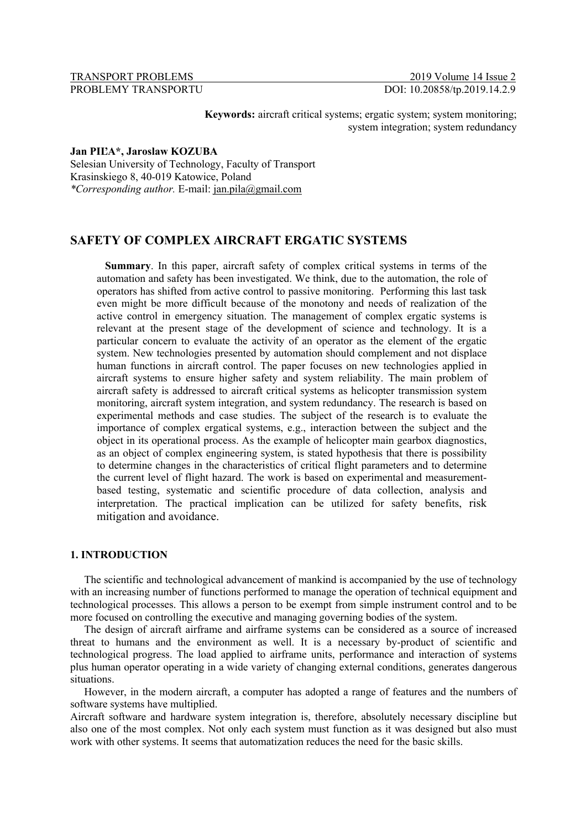# TRANSPORT PROBLEMS 2019 Volume 14 Issue 2

PROBLEMY TRANSPORTU DOI: 10.20858/tp.2019.14.2.9

**Keywords:** aircraft critical systems; ergatic system; system monitoring;

system integration; system redundancy

#### **Jan PIĽA\*, Jaroslaw KOZUBA**

Selesian University of Technology, Faculty of Transport Krasinskiego 8, 40-019 Katowice, Poland *\*Corresponding author.* E-mail: jan.pila@gmail.com

## **SAFETY OF COMPLEX AIRCRAFT ERGATIC SYSTEMS**

**Summary**. In this paper, aircraft safety of complex critical systems in terms of the automation and safety has been investigated. We think, due to the automation, the role of operators has shifted from active control to passive monitoring. Performing this last task even might be more difficult because of the monotony and needs of realization of the active control in emergency situation. The management of complex ergatic systems is relevant at the present stage of the development of science and technology. It is a particular concern to evaluate the activity of an operator as the element of the ergatic system. New technologies presented by automation should complement and not displace human functions in aircraft control. The paper focuses on new technologies applied in aircraft systems to ensure higher safety and system reliability. The main problem of aircraft safety is addressed to aircraft critical systems as helicopter transmission system monitoring, aircraft system integration, and system redundancy. The research is based on experimental methods and case studies. The subject of the research is to evaluate the importance of complex ergatical systems, e.g., interaction between the subject and the object in its operational process. As the example of helicopter main gearbox diagnostics, as an object of complex engineering system, is stated hypothesis that there is possibility to determine changes in the characteristics of critical flight parameters and to determine the current level of flight hazard. The work is based on experimental and measurementbased testing, systematic and scientific procedure of data collection, analysis and interpretation. The practical implication can be utilized for safety benefits, risk mitigation and avoidance.

## **1. INTRODUCTION**

The scientific and technological advancement of mankind is accompanied by the use of technology with an increasing number of functions performed to manage the operation of technical equipment and technological processes. This allows a person to be exempt from simple instrument control and to be more focused on controlling the executive and managing governing bodies of the system.

The design of aircraft airframe and airframe systems can be considered as a source of increased threat to humans and the environment as well. It is a necessary by-product of scientific and technological progress. The load applied to airframe units, performance and interaction of systems plus human operator operating in a wide variety of changing external conditions, generates dangerous situations.

However, in the modern aircraft, a computer has adopted a range of features and the numbers of software systems have multiplied.

Aircraft software and hardware system integration is, therefore, absolutely necessary discipline but also one of the most complex. Not only each system must function as it was designed but also must work with other systems. It seems that automatization reduces the need for the basic skills.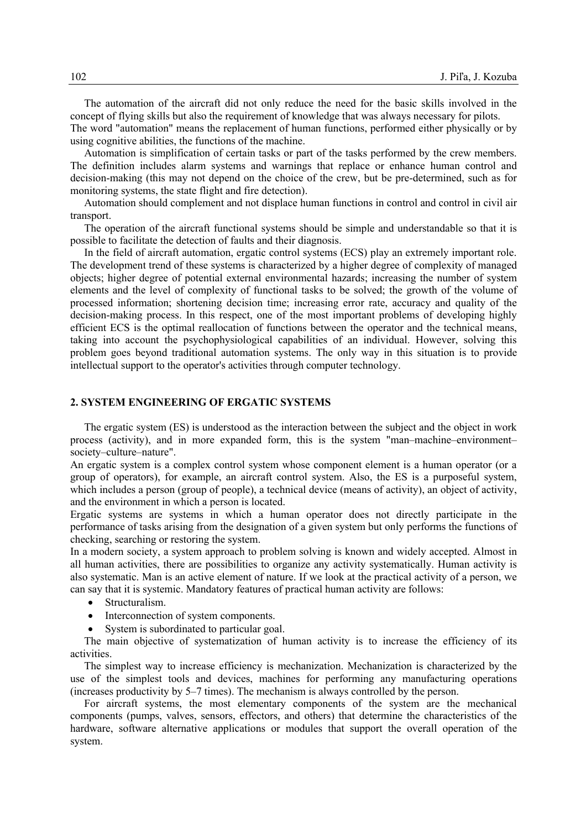The automation of the aircraft did not only reduce the need for the basic skills involved in the concept of flying skills but also the requirement of knowledge that was always necessary for pilots.

The word "automation" means the replacement of human functions, performed either physically or by using cognitive abilities, the functions of the machine.

Automation is simplification of certain tasks or part of the tasks performed by the crew members. The definition includes alarm systems and warnings that replace or enhance human control and decision-making (this may not depend on the choice of the crew, but be pre-determined, such as for monitoring systems, the state flight and fire detection).

Automation should complement and not displace human functions in control and control in civil air transport.

The operation of the aircraft functional systems should be simple and understandable so that it is possible to facilitate the detection of faults and their diagnosis.

In the field of aircraft automation, ergatic control systems (ECS) play an extremely important role. The development trend of these systems is characterized by a higher degree of complexity of managed objects; higher degree of potential external environmental hazards; increasing the number of system elements and the level of complexity of functional tasks to be solved; the growth of the volume of processed information; shortening decision time; increasing error rate, accuracy and quality of the decision-making process. In this respect, one of the most important problems of developing highly efficient ECS is the optimal reallocation of functions between the operator and the technical means, taking into account the psychophysiological capabilities of an individual. However, solving this problem goes beyond traditional automation systems. The only way in this situation is to provide intellectual support to the operator's activities through computer technology.

#### **2. SYSTEM ENGINEERING OF ERGATIC SYSTEMS**

The ergatic system (ES) is understood as the interaction between the subject and the object in work process (activity), and in more expanded form, this is the system "man–machine–environment– society–culture–nature".

An ergatic system is a complex control system whose component element is a human operator (or a group of operators), for example, an aircraft control system. Also, the ES is a purposeful system, which includes a person (group of people), a technical device (means of activity), an object of activity, and the environment in which a person is located.

Ergatic systems are systems in which a human operator does not directly participate in the performance of tasks arising from the designation of a given system but only performs the functions of checking, searching or restoring the system.

In a modern society, a system approach to problem solving is known and widely accepted. Almost in all human activities, there are possibilities to organize any activity systematically. Human activity is also systematic. Man is an active element of nature. If we look at the practical activity of a person, we can say that it is systemic. Mandatory features of practical human activity are follows:

- Structuralism.
- Interconnection of system components.
- System is subordinated to particular goal.

The main objective of systematization of human activity is to increase the efficiency of its activities.

The simplest way to increase efficiency is mechanization. Mechanization is characterized by the use of the simplest tools and devices, machines for performing any manufacturing operations (increases productivity by 5–7 times). The mechanism is always controlled by the person.

For aircraft systems, the most elementary components of the system are the mechanical components (pumps, valves, sensors, effectors, and others) that determine the characteristics of the hardware, software alternative applications or modules that support the overall operation of the system.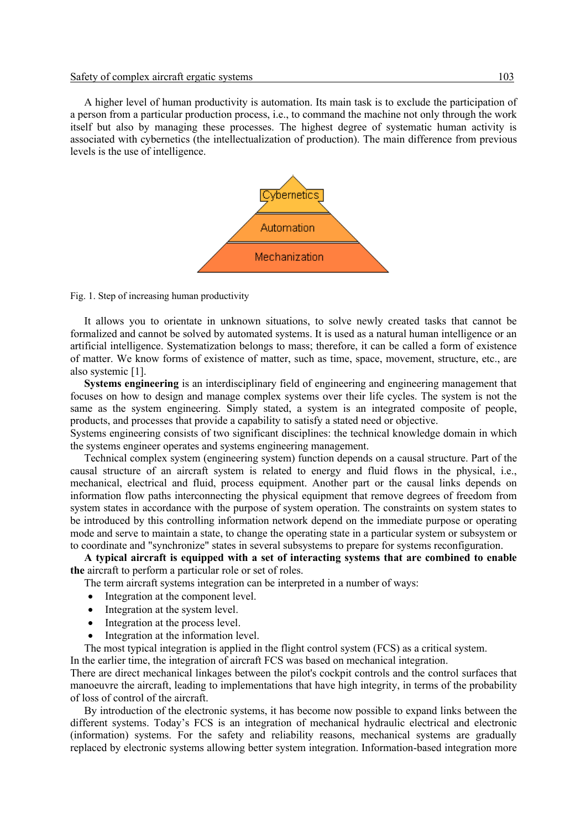A higher level of human productivity is automation. Its main task is to exclude the participation of a person from a particular production process, i.e., to command the machine not only through the work itself but also by managing these processes. The highest degree of systematic human activity is associated with cybernetics (the intellectualization of production). The main difference from previous levels is the use of intelligence.



Fig. 1. Step of increasing human productivity

It allows you to orientate in unknown situations, to solve newly created tasks that cannot be formalized and cannot be solved by automated systems. It is used as a natural human intelligence or an artificial intelligence. Systematization belongs to mass; therefore, it can be called a form of existence of matter. We know forms of existence of matter, such as time, space, movement, structure, etc., are also systemic [1].

**Systems engineering** is an interdisciplinary field of engineering and engineering management that focuses on how to design and manage complex systems over their life cycles. The system is not the same as the system engineering. Simply stated, a system is an integrated composite of people, products, and processes that provide a capability to satisfy a stated need or objective.

Systems engineering consists of two significant disciplines: the technical knowledge domain in which the systems engineer operates and systems engineering management.

Technical complex system (engineering system) function depends on a causal structure. Part of the causal structure of an aircraft system is related to energy and fluid flows in the physical, i.e., mechanical, electrical and fluid, process equipment. Another part or the causal links depends on information flow paths interconnecting the physical equipment that remove degrees of freedom from system states in accordance with the purpose of system operation. The constraints on system states to be introduced by this controlling information network depend on the immediate purpose or operating mode and serve to maintain a state, to change the operating state in a particular system or subsystem or to coordinate and "synchronize" states in several subsystems to prepare for systems reconfiguration.

**A typical aircraft is equipped with a set of interacting systems that are combined to enable the** aircraft to perform a particular role or set of roles.

The term aircraft systems integration can be interpreted in a number of ways:

- Integration at the component level.
- Integration at the system level.
- Integration at the process level.
- Integration at the information level.

The most typical integration is applied in the flight control system (FCS) as a critical system.

In the earlier time, the integration of aircraft FCS was based on mechanical integration.

There are direct mechanical linkages between the pilot's cockpit controls and the control surfaces that manoeuvre the aircraft, leading to implementations that have high integrity, in terms of the probability of loss of control of the aircraft.

By introduction of the electronic systems, it has become now possible to expand links between the different systems. Today's FCS is an integration of mechanical hydraulic electrical and electronic (information) systems. For the safety and reliability reasons, mechanical systems are gradually replaced by electronic systems allowing better system integration. Information-based integration more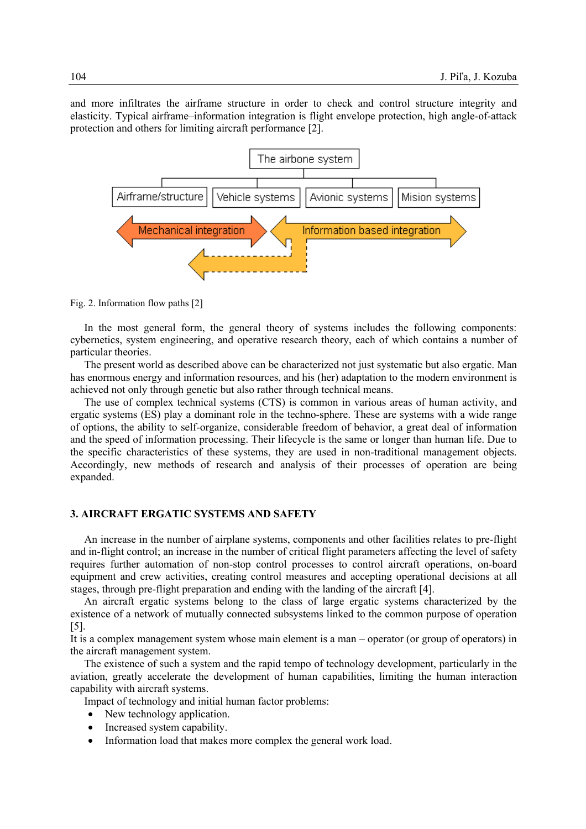and more infiltrates the airframe structure in order to check and control structure integrity and elasticity. Typical airframe–information integration is flight envelope protection, high angle-of-attack protection and others for limiting aircraft performance [2].



Fig. 2. Information flow paths [2]

In the most general form, the general theory of systems includes the following components: cybernetics, system engineering, and operative research theory, each of which contains a number of particular theories.

The present world as described above can be characterized not just systematic but also ergatic. Man has enormous energy and information resources, and his (her) adaptation to the modern environment is achieved not only through genetic but also rather through technical means.

The use of complex technical systems (CTS) is common in various areas of human activity, and ergatic systems (ES) play a dominant role in the techno-sphere. These are systems with a wide range of options, the ability to self-organize, considerable freedom of behavior, a great deal of information and the speed of information processing. Their lifecycle is the same or longer than human life. Due to the specific characteristics of these systems, they are used in non-traditional management objects. Accordingly, new methods of research and analysis of their processes of operation are being expanded.

#### **3. AIRCRAFT ERGATIC SYSTEMS AND SAFETY**

An increase in the number of airplane systems, components and other facilities relates to pre-flight and in-flight control; an increase in the number of critical flight parameters affecting the level of safety requires further automation of non-stop control processes to control aircraft operations, on-board equipment and crew activities, creating control measures and accepting operational decisions at all stages, through pre-flight preparation and ending with the landing of the aircraft [4].

An aircraft ergatic systems belong to the class of large ergatic systems characterized by the existence of a network of mutually connected subsystems linked to the common purpose of operation [5].

It is a complex management system whose main element is a man – operator (or group of operators) in the aircraft management system.

The existence of such a system and the rapid tempo of technology development, particularly in the aviation, greatly accelerate the development of human capabilities, limiting the human interaction capability with aircraft systems.

Impact of technology and initial human factor problems:

- New technology application.
- Increased system capability.
- Information load that makes more complex the general work load.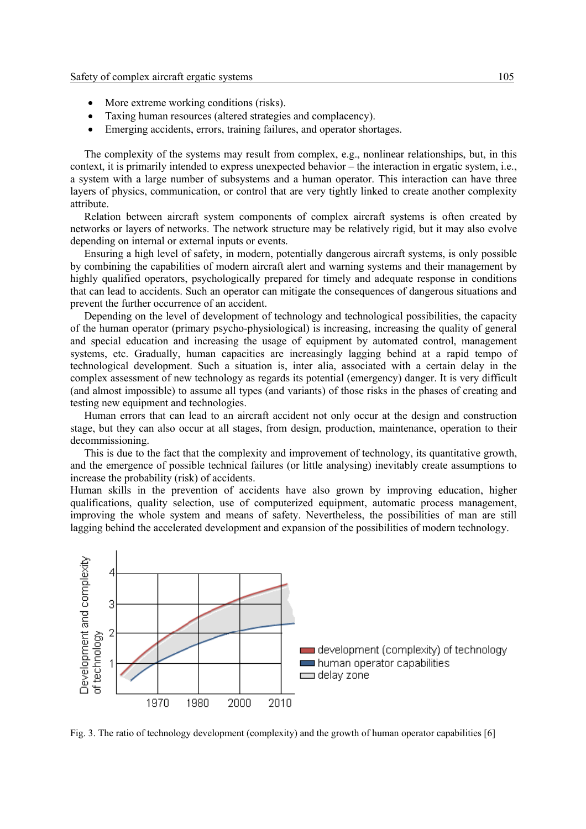- More extreme working conditions (risks).
- Taxing human resources (altered strategies and complacency).
- Emerging accidents, errors, training failures, and operator shortages.

The complexity of the systems may result from complex, e.g., nonlinear relationships, but, in this context, it is primarily intended to express unexpected behavior – the interaction in ergatic system, i.e., a system with a large number of subsystems and a human operator. This interaction can have three layers of physics, communication, or control that are very tightly linked to create another complexity attribute.

Relation between aircraft system components of complex aircraft systems is often created by networks or layers of networks. The network structure may be relatively rigid, but it may also evolve depending on internal or external inputs or events.

Ensuring a high level of safety, in modern, potentially dangerous aircraft systems, is only possible by combining the capabilities of modern aircraft alert and warning systems and their management by highly qualified operators, psychologically prepared for timely and adequate response in conditions that can lead to accidents. Such an operator can mitigate the consequences of dangerous situations and prevent the further occurrence of an accident.

Depending on the level of development of technology and technological possibilities, the capacity of the human operator (primary psycho-physiological) is increasing, increasing the quality of general and special education and increasing the usage of equipment by automated control, management systems, etc. Gradually, human capacities are increasingly lagging behind at a rapid tempo of technological development. Such a situation is, inter alia, associated with a certain delay in the complex assessment of new technology as regards its potential (emergency) danger. It is very difficult (and almost impossible) to assume all types (and variants) of those risks in the phases of creating and testing new equipment and technologies.

Human errors that can lead to an aircraft accident not only occur at the design and construction stage, but they can also occur at all stages, from design, production, maintenance, operation to their decommissioning.

This is due to the fact that the complexity and improvement of technology, its quantitative growth, and the emergence of possible technical failures (or little analysing) inevitably create assumptions to increase the probability (risk) of accidents.

Human skills in the prevention of accidents have also grown by improving education, higher qualifications, quality selection, use of computerized equipment, automatic process management, improving the whole system and means of safety. Nevertheless, the possibilities of man are still lagging behind the accelerated development and expansion of the possibilities of modern technology.



Fig. 3. The ratio of technology development (complexity) and the growth of human operator capabilities [6]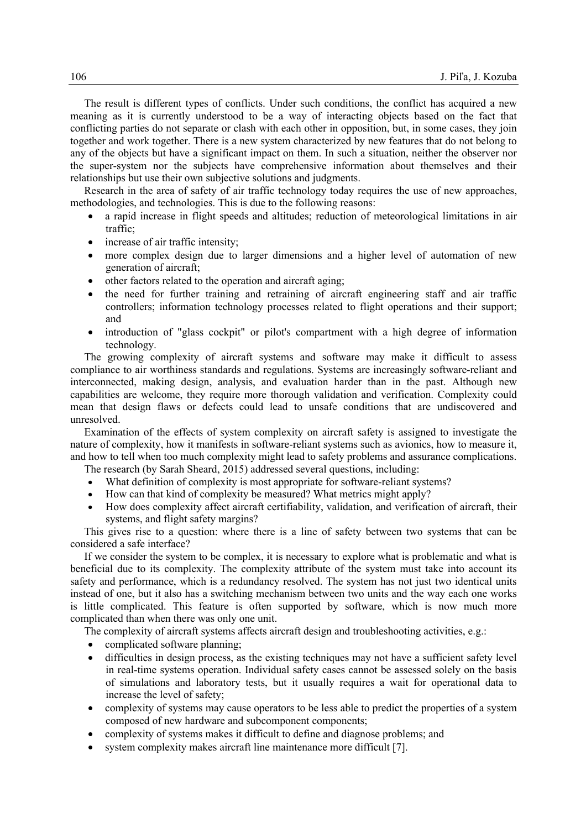The result is different types of conflicts. Under such conditions, the conflict has acquired a new meaning as it is currently understood to be a way of interacting objects based on the fact that conflicting parties do not separate or clash with each other in opposition, but, in some cases, they join together and work together. There is a new system characterized by new features that do not belong to any of the objects but have a significant impact on them. In such a situation, neither the observer nor the super-system nor the subjects have comprehensive information about themselves and their relationships but use their own subjective solutions and judgments.

Research in the area of safety of air traffic technology today requires the use of new approaches, methodologies, and technologies. This is due to the following reasons:

- a rapid increase in flight speeds and altitudes; reduction of meteorological limitations in air traffic;
- increase of air traffic intensity;
- more complex design due to larger dimensions and a higher level of automation of new generation of aircraft;
- other factors related to the operation and aircraft aging;
- the need for further training and retraining of aircraft engineering staff and air traffic controllers; information technology processes related to flight operations and their support; and
- introduction of "glass cockpit" or pilot's compartment with a high degree of information technology.

The growing complexity of aircraft systems and software may make it difficult to assess compliance to air worthiness standards and regulations. Systems are increasingly software-reliant and interconnected, making design, analysis, and evaluation harder than in the past. Although new capabilities are welcome, they require more thorough validation and verification. Complexity could mean that design flaws or defects could lead to unsafe conditions that are undiscovered and unresolved.

Examination of the effects of system complexity on aircraft safety is assigned to investigate the nature of complexity, how it manifests in software-reliant systems such as avionics, how to measure it, and how to tell when too much complexity might lead to safety problems and assurance complications. The research (by Sarah Sheard, 2015) addressed several questions, including:

- What definition of complexity is most appropriate for software-reliant systems?
- How can that kind of complexity be measured? What metrics might apply?
- 
- How does complexity affect aircraft certifiability, validation, and verification of aircraft, their systems, and flight safety margins?

This gives rise to a question: where there is a line of safety between two systems that can be considered a safe interface?

If we consider the system to be complex, it is necessary to explore what is problematic and what is beneficial due to its complexity. The complexity attribute of the system must take into account its safety and performance, which is a redundancy resolved. The system has not just two identical units instead of one, but it also has a switching mechanism between two units and the way each one works is little complicated. This feature is often supported by software, which is now much more complicated than when there was only one unit.

The complexity of aircraft systems affects aircraft design and troubleshooting activities, e.g.:

- complicated software planning;
- difficulties in design process, as the existing techniques may not have a sufficient safety level in real-time systems operation. Individual safety cases cannot be assessed solely on the basis of simulations and laboratory tests, but it usually requires a wait for operational data to increase the level of safety;
- complexity of systems may cause operators to be less able to predict the properties of a system composed of new hardware and subcomponent components;
- complexity of systems makes it difficult to define and diagnose problems; and
- system complexity makes aircraft line maintenance more difficult [7].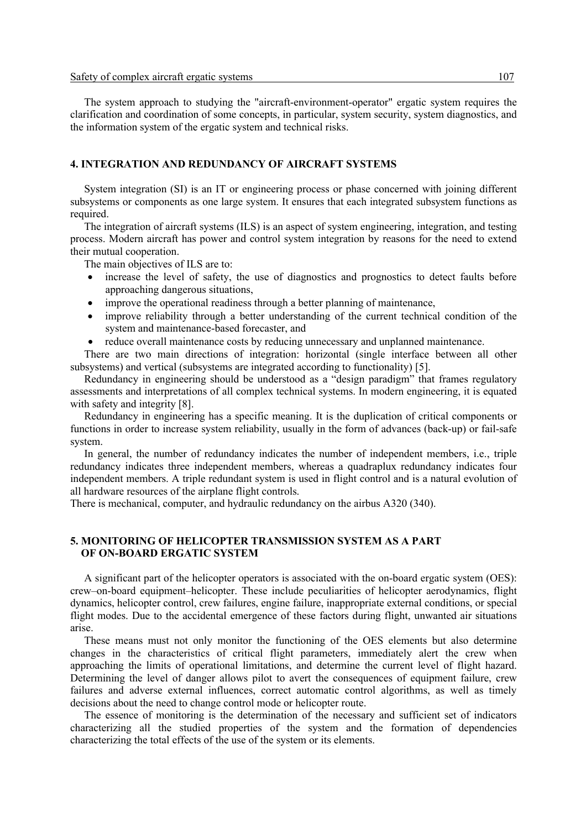The system approach to studying the "aircraft-environment-operator" ergatic system requires the clarification and coordination of some concepts, in particular, system security, system diagnostics, and the information system of the ergatic system and technical risks.

#### **4. INTEGRATION AND REDUNDANCY OF AIRCRAFT SYSTEMS**

System integration (SI) is an IT or engineering process or phase concerned with joining different subsystems or components as one large system. It ensures that each integrated subsystem functions as required.

The integration of aircraft systems (ILS) is an aspect of system engineering, integration, and testing process. Modern aircraft has power and control system integration by reasons for the need to extend their mutual cooperation.

The main objectives of ILS are to:

- increase the level of safety, the use of diagnostics and prognostics to detect faults before approaching dangerous situations,
- improve the operational readiness through a better planning of maintenance,
- improve reliability through a better understanding of the current technical condition of the system and maintenance-based forecaster, and
- reduce overall maintenance costs by reducing unnecessary and unplanned maintenance.

There are two main directions of integration: horizontal (single interface between all other subsystems) and vertical (subsystems are integrated according to functionality) [5].

Redundancy in engineering should be understood as a "design paradigm" that frames regulatory assessments and interpretations of all complex technical systems. In modern engineering, it is equated with safety and integrity [8].

Redundancy in engineering has a specific meaning. It is the duplication of critical components or functions in order to increase system reliability, usually in the form of advances (back-up) or fail-safe system.

In general, the number of redundancy indicates the number of independent members, i.e., triple redundancy indicates three independent members, whereas a quadraplux redundancy indicates four independent members. A triple redundant system is used in flight control and is a natural evolution of all hardware resources of the airplane flight controls.

There is mechanical, computer, and hydraulic redundancy on the airbus A320 (340).

#### **5. MONITORING OF HELICOPTER TRANSMISSION SYSTEM AS A PART OF ON-BOARD ERGATIC SYSTEM**

A significant part of the helicopter operators is associated with the on-board ergatic system (OES): crew–on-board equipment–helicopter. These include peculiarities of helicopter aerodynamics, flight dynamics, helicopter control, crew failures, engine failure, inappropriate external conditions, or special flight modes. Due to the accidental emergence of these factors during flight, unwanted air situations arise.

These means must not only monitor the functioning of the OES elements but also determine changes in the characteristics of critical flight parameters, immediately alert the crew when approaching the limits of operational limitations, and determine the current level of flight hazard. Determining the level of danger allows pilot to avert the consequences of equipment failure, crew failures and adverse external influences, correct automatic control algorithms, as well as timely decisions about the need to change control mode or helicopter route.

The essence of monitoring is the determination of the necessary and sufficient set of indicators characterizing all the studied properties of the system and the formation of dependencies characterizing the total effects of the use of the system or its elements.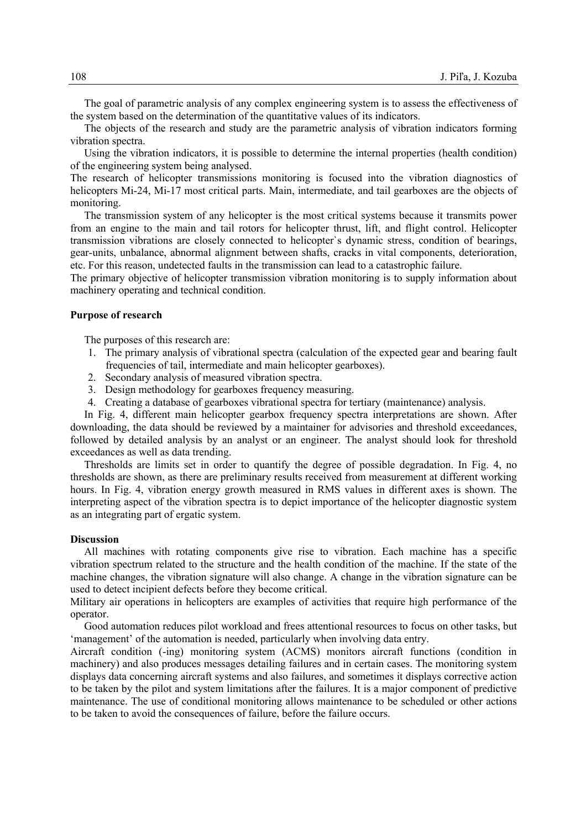The goal of parametric analysis of any complex engineering system is to assess the effectiveness of the system based on the determination of the quantitative values of its indicators.

The objects of the research and study are the parametric analysis of vibration indicators forming vibration spectra.

Using the vibration indicators, it is possible to determine the internal properties (health condition) of the engineering system being analysed.

The research of helicopter transmissions monitoring is focused into the vibration diagnostics of helicopters Mi-24, Mi-17 most critical parts. Main, intermediate, and tail gearboxes are the objects of monitoring.

The transmission system of any helicopter is the most critical systems because it transmits power from an engine to the main and tail rotors for helicopter thrust, lift, and flight control. Helicopter transmission vibrations are closely connected to helicopter`s dynamic stress, condition of bearings, gear-units, unbalance, abnormal alignment between shafts, cracks in vital components, deterioration, etc. For this reason, undetected faults in the transmission can lead to a catastrophic failure.

The primary objective of helicopter transmission vibration monitoring is to supply information about machinery operating and technical condition.

#### **Purpose of research**

The purposes of this research are:

- 1. The primary analysis of vibrational spectra (calculation of the expected gear and bearing fault frequencies of tail, intermediate and main helicopter gearboxes).
- 2. Secondary analysis of measured vibration spectra.
- 3. Design methodology for gearboxes frequency measuring.
- 4. Creating a database of gearboxes vibrational spectra for tertiary (maintenance) analysis.

In Fig. 4, different main helicopter gearbox frequency spectra interpretations are shown. After downloading, the data should be reviewed by a maintainer for advisories and threshold exceedances, followed by detailed analysis by an analyst or an engineer. The analyst should look for threshold exceedances as well as data trending.

Thresholds are limits set in order to quantify the degree of possible degradation. In Fig. 4, no thresholds are shown, as there are preliminary results received from measurement at different working hours. In Fig. 4, vibration energy growth measured in RMS values in different axes is shown. The interpreting aspect of the vibration spectra is to depict importance of the helicopter diagnostic system as an integrating part of ergatic system.

#### **Discussion**

All machines with rotating components give rise to vibration. Each machine has a specific vibration spectrum related to the structure and the health condition of the machine. If the state of the machine changes, the vibration signature will also change. A change in the vibration signature can be used to detect incipient defects before they become critical.

Military air operations in helicopters are examples of activities that require high performance of the operator.

Good automation reduces pilot workload and frees attentional resources to focus on other tasks, but 'management' of the automation is needed, particularly when involving data entry.

Aircraft condition (-ing) monitoring system (ACMS) monitors aircraft functions (condition in machinery) and also produces messages detailing failures and in certain cases. The monitoring system displays data concerning aircraft systems and also failures, and sometimes it displays corrective action to be taken by the pilot and system limitations after the failures. It is a major component of predictive maintenance. The use of conditional monitoring allows maintenance to be scheduled or other actions to be taken to avoid the consequences of failure, before the failure occurs.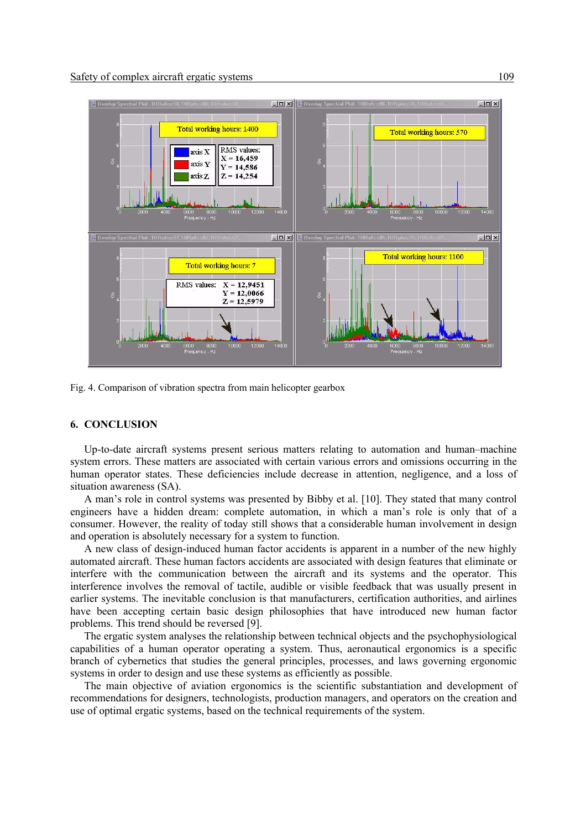

Fig. 4. Comparison of vibration spectra from main helicopter gearbox

### **6. CONCLUSION**

Up-to-date aircraft systems present serious matters relating to automation and human–machine system errors. These matters are associated with certain various errors and omissions occurring in the human operator states. These deficiencies include decrease in attention, negligence, and a loss of situation awareness (SA).

A man's role in control systems was presented by Bibby et al. [10]. They stated that many control engineers have a hidden dream: complete automation, in which a man's role is only that of a consumer. However, the reality of today still shows that a considerable human involvement in design and operation is absolutely necessary for a system to function.

A new class of design-induced human factor accidents is apparent in a number of the new highly automated aircraft. These human factors accidents are associated with design features that eliminate or interfere with the communication between the aircraft and its systems and the operator. This interference involves the removal of tactile, audible or visible feedback that was usually present in earlier systems. The inevitable conclusion is that manufacturers, certification authorities, and airlines have been accepting certain basic design philosophies that have introduced new human factor problems. This trend should be reversed [9].

The ergatic system analyses the relationship between technical objects and the psychophysiological capabilities of a human operator operating a system. Thus, aeronautical ergonomics is a specific branch of cybernetics that studies the general principles, processes, and laws governing ergonomic systems in order to design and use these systems as efficiently as possible.

The main objective of aviation ergonomics is the scientific substantiation and development of recommendations for designers, technologists, production managers, and operators on the creation and use of optimal ergatic systems, based on the technical requirements of the system.